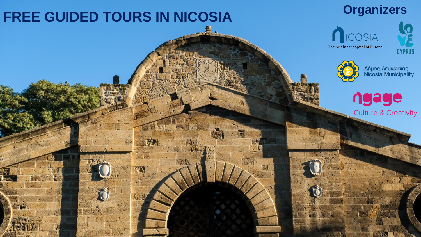# **FREE GUIDED TOURS IN NICOSIA Organizers**





Δήμος Λευκωσίας<br>Nicosia Municipality



**Culture & Creativity**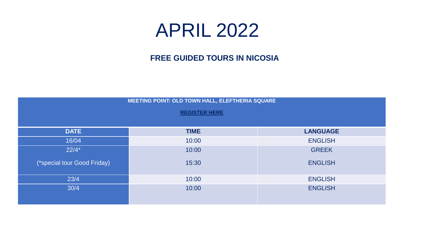## APRIL 2022

| MEETING POINT: OLD TOWN HALL, ELEFTHERIA SQUARE |             |                 |  |  |
|-------------------------------------------------|-------------|-----------------|--|--|
| <b>REGISTER HERE</b>                            |             |                 |  |  |
|                                                 |             |                 |  |  |
| <b>DATE</b>                                     | <b>TIME</b> | <b>LANGUAGE</b> |  |  |
| 16/04                                           | 10:00       | <b>ENGLISH</b>  |  |  |
| $22/4*$                                         | 10:00       | <b>GREEK</b>    |  |  |
| (*special tour Good Friday)                     | 15:30       | <b>ENGLISH</b>  |  |  |
| 23/4                                            | 10:00       | <b>ENGLISH</b>  |  |  |
| 30/4                                            | 10:00       | <b>ENGLISH</b>  |  |  |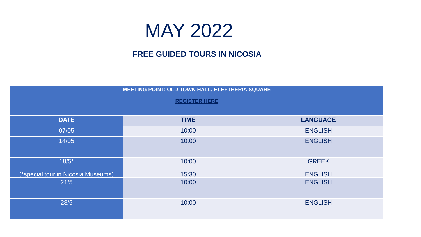

| MEETING POINT: OLD TOWN HALL, ELEFTHERIA SQUARE |                      |                 |  |
|-------------------------------------------------|----------------------|-----------------|--|
|                                                 | <b>REGISTER HERE</b> |                 |  |
|                                                 |                      |                 |  |
| <b>DATE</b>                                     | <b>TIME</b>          | <b>LANGUAGE</b> |  |
| 07/05                                           | 10:00                | <b>ENGLISH</b>  |  |
| 14/05                                           | 10:00                | <b>ENGLISH</b>  |  |
|                                                 |                      |                 |  |
| $18/5*$                                         | 10:00                | <b>GREEK</b>    |  |
| (*special tour in Nicosia Museums)              | 15:30                | <b>ENGLISH</b>  |  |
| 21/5                                            | 10:00                | <b>ENGLISH</b>  |  |
|                                                 |                      |                 |  |
| 28/5                                            | 10:00                | <b>ENGLISH</b>  |  |
|                                                 |                      |                 |  |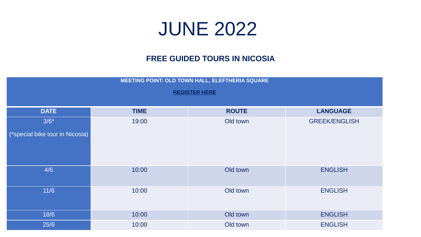### JUNE 2022

| MEETING POINT: OLD TOWN HALL, ELEFTHERIA SQUARE |             |              |                      |  |
|-------------------------------------------------|-------------|--------------|----------------------|--|
| <b>REGISTER HERE</b>                            |             |              |                      |  |
|                                                 |             |              |                      |  |
| <b>DATE</b>                                     | <b>TIME</b> | <b>ROUTE</b> | <b>LANGUAGE</b>      |  |
| $3/6*$                                          | 19:00       | Old town     | <b>GREEK/ENGLISH</b> |  |
| (*special bike tour in Nicosia)                 |             |              |                      |  |
|                                                 |             |              |                      |  |
|                                                 |             |              |                      |  |
|                                                 |             |              |                      |  |
| 4/6                                             | 10:00       | Old town     | <b>ENGLISH</b>       |  |
|                                                 |             |              |                      |  |
| 11/6                                            | 10:00       | Old town     | <b>ENGLISH</b>       |  |
|                                                 |             |              |                      |  |
| 18/6                                            | 10:00       | Old town     | <b>ENGLISH</b>       |  |
|                                                 |             |              |                      |  |
| 25/6                                            | 10:00       | Old town     | <b>ENGLISH</b>       |  |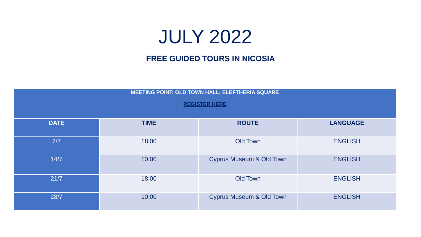### JULY 2022

| MEETING POINT: OLD TOWN HALL, ELEFTHERIA SQUARE               |       |                                     |                |  |  |
|---------------------------------------------------------------|-------|-------------------------------------|----------------|--|--|
| <b>REGISTER HERE</b>                                          |       |                                     |                |  |  |
| <b>TIME</b><br><b>DATE</b><br><b>LANGUAGE</b><br><b>ROUTE</b> |       |                                     |                |  |  |
| 7/7                                                           | 18:00 | <b>Old Town</b>                     | <b>ENGLISH</b> |  |  |
| 14/7                                                          | 10:00 | <b>Cyprus Museum &amp; Old Town</b> | <b>ENGLISH</b> |  |  |
| 21/7                                                          | 18:00 | <b>Old Town</b>                     | <b>ENGLISH</b> |  |  |
| 28/7                                                          | 10:00 | <b>Cyprus Museum &amp; Old Town</b> | <b>ENGLISH</b> |  |  |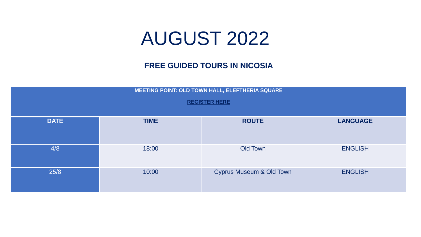### AUGUST 2022

| MEETING POINT: OLD TOWN HALL, ELEFTHERIA SQUARE<br><b>REGISTER HERE</b> |             |                                     |                 |  |
|-------------------------------------------------------------------------|-------------|-------------------------------------|-----------------|--|
| <b>DATE</b>                                                             | <b>TIME</b> | <b>ROUTE</b>                        | <b>LANGUAGE</b> |  |
| 4/8                                                                     | 18:00       | Old Town                            | <b>ENGLISH</b>  |  |
| 25/8                                                                    | 10:00       | <b>Cyprus Museum &amp; Old Town</b> | <b>ENGLISH</b>  |  |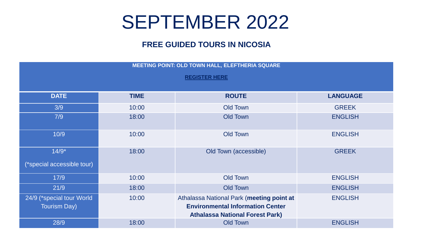## SEPTEMBER 2022

| MEETING POINT: OLD TOWN HALL, ELEFTHERIA SQUARE  |             |                                                                                                                                |                 |  |
|--------------------------------------------------|-------------|--------------------------------------------------------------------------------------------------------------------------------|-----------------|--|
| <b>REGISTER HERE</b>                             |             |                                                                                                                                |                 |  |
|                                                  |             |                                                                                                                                |                 |  |
| <b>DATE</b>                                      | <b>TIME</b> | <b>ROUTE</b>                                                                                                                   | <b>LANGUAGE</b> |  |
| 3/9                                              | 10:00       | <b>Old Town</b>                                                                                                                | <b>GREEK</b>    |  |
| 7/9                                              | 18:00       | <b>Old Town</b>                                                                                                                | <b>ENGLISH</b>  |  |
| 10/9                                             | 10:00       | <b>Old Town</b>                                                                                                                | <b>ENGLISH</b>  |  |
| $14/9*$<br>(*special accessible tour)            | 18:00       | Old Town (accessible)                                                                                                          | <b>GREEK</b>    |  |
| 17/9                                             | 10:00       | <b>Old Town</b>                                                                                                                | <b>ENGLISH</b>  |  |
| 21/9                                             | 18:00       | <b>Old Town</b>                                                                                                                | <b>ENGLISH</b>  |  |
| 24/9 (*special tour World<br><b>Tourism Day)</b> | 10:00       | Athalassa National Park (meeting point at<br><b>Environmental Information Center</b><br><b>Athalassa National Forest Park)</b> | <b>ENGLISH</b>  |  |
| 28/9                                             | 18:00       | <b>Old Town</b>                                                                                                                | <b>ENGLISH</b>  |  |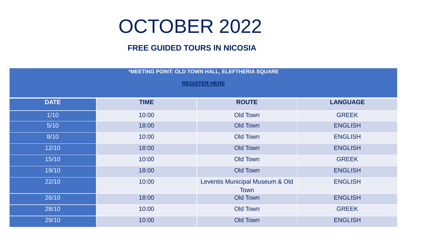## OCTOBER 2022

| *MEETING POINT: OLD TOWN HALL, ELEFTHERIA SQUARE |             |                                                |                 |  |
|--------------------------------------------------|-------------|------------------------------------------------|-----------------|--|
| <b>REGISTER HERE</b>                             |             |                                                |                 |  |
|                                                  |             |                                                |                 |  |
| <b>DATE</b>                                      | <b>TIME</b> | <b>ROUTE</b>                                   | <b>LANGUAGE</b> |  |
| $1/10$                                           | 10:00       | <b>Old Town</b>                                | <b>GREEK</b>    |  |
| $5/10$                                           | 18:00       | <b>Old Town</b>                                | <b>ENGLISH</b>  |  |
| 8/10                                             | 10:00       | <b>Old Town</b>                                | <b>ENGLISH</b>  |  |
| 12/10                                            | 18:00       | <b>Old Town</b>                                | <b>ENGLISH</b>  |  |
| 15/10                                            | 10:00       | <b>Old Town</b>                                | <b>GREEK</b>    |  |
| 19/10                                            | 18:00       | <b>Old Town</b>                                | <b>ENGLISH</b>  |  |
| 22/10                                            | 10:00       | Leventis Municipal Museum & Old<br><b>Town</b> | <b>ENGLISH</b>  |  |
| 26/10                                            | 18:00       | <b>Old Town</b>                                | <b>ENGLISH</b>  |  |
| 28/10                                            | 10:00       | <b>Old Town</b>                                | <b>GREEK</b>    |  |
| 29/10                                            | 10:00       | <b>Old Town</b>                                | <b>ENGLISH</b>  |  |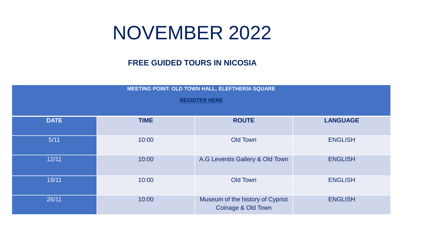## NOVEMBER 2022

| MEETING POINT: OLD TOWN HALL, ELEFTHERIA SQUARE<br><b>REGISTER HERE</b> |             |                                                        |                 |
|-------------------------------------------------------------------------|-------------|--------------------------------------------------------|-----------------|
| <b>DATE</b>                                                             | <b>TIME</b> | <b>ROUTE</b>                                           | <b>LANGUAGE</b> |
| 5/11                                                                    | 10:00       | Old Town                                               | <b>ENGLISH</b>  |
| 12/11                                                                   | 10:00       | A.G Leventis Gallery & Old Town                        | <b>ENGLISH</b>  |
| 19/11                                                                   | 10:00       | Old Town                                               | <b>ENGLISH</b>  |
| 26/11                                                                   | 10:00       | Museum of the history of Cypriot<br>Coinage & Old Town | <b>ENGLISH</b>  |